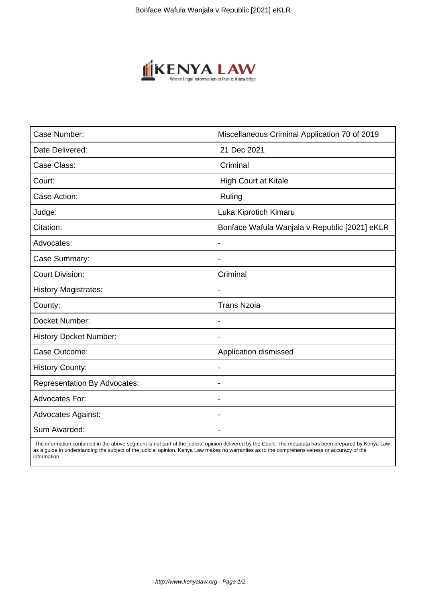

| Case Number:                        | Miscellaneous Criminal Application 70 of 2019 |
|-------------------------------------|-----------------------------------------------|
| Date Delivered:                     | 21 Dec 2021                                   |
| Case Class:                         | Criminal                                      |
| Court:                              | <b>High Court at Kitale</b>                   |
| Case Action:                        | Ruling                                        |
| Judge:                              | Luka Kiprotich Kimaru                         |
| Citation:                           | Bonface Wafula Wanjala v Republic [2021] eKLR |
| Advocates:                          | $\blacksquare$                                |
| Case Summary:                       |                                               |
| <b>Court Division:</b>              | Criminal                                      |
| <b>History Magistrates:</b>         |                                               |
| County:                             | <b>Trans Nzoia</b>                            |
| Docket Number:                      |                                               |
| <b>History Docket Number:</b>       |                                               |
| Case Outcome:                       | Application dismissed                         |
| <b>History County:</b>              | $\blacksquare$                                |
| <b>Representation By Advocates:</b> | $\overline{\phantom{a}}$                      |
| <b>Advocates For:</b>               | $\blacksquare$                                |
| <b>Advocates Against:</b>           |                                               |
| Sum Awarded:                        |                                               |

 The information contained in the above segment is not part of the judicial opinion delivered by the Court. The metadata has been prepared by Kenya Law as a guide in understanding the subject of the judicial opinion. Kenya Law makes no warranties as to the comprehensiveness or accuracy of the information.